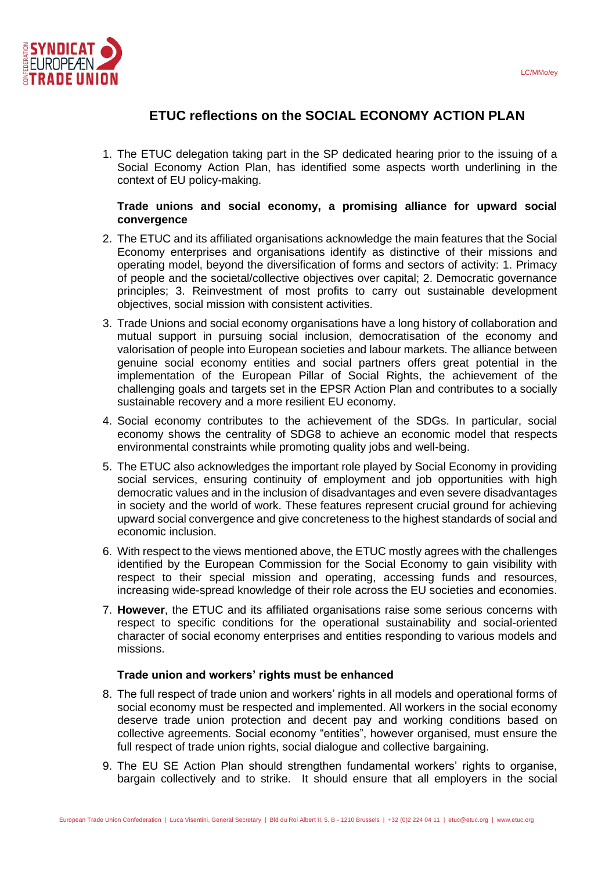

# **ETUC reflections on the SOCIAL ECONOMY ACTION PLAN**

1. The ETUC delegation taking part in the SP dedicated hearing prior to the issuing of a Social Economy Action Plan, has identified some aspects worth underlining in the context of EU policy-making.

## **Trade unions and social economy, a promising alliance for upward social convergence**

- 2. The ETUC and its affiliated organisations acknowledge the main features that the Social Economy enterprises and organisations identify as distinctive of their missions and operating model, beyond the diversification of forms and sectors of activity: 1. Primacy of people and the societal/collective objectives over capital; 2. Democratic governance principles; 3. Reinvestment of most profits to carry out sustainable development objectives, social mission with consistent activities.
- 3. Trade Unions and social economy organisations have a long history of collaboration and mutual support in pursuing social inclusion, democratisation of the economy and valorisation of people into European societies and labour markets. The alliance between genuine social economy entities and social partners offers great potential in the implementation of the European Pillar of Social Rights, the achievement of the challenging goals and targets set in the EPSR Action Plan and contributes to a socially sustainable recovery and a more resilient EU economy.
- 4. Social economy contributes to the achievement of the SDGs. In particular, social economy shows the centrality of SDG8 to achieve an economic model that respects environmental constraints while promoting quality jobs and well-being.
- 5. The ETUC also acknowledges the important role played by Social Economy in providing social services, ensuring continuity of employment and job opportunities with high democratic values and in the inclusion of disadvantages and even severe disadvantages in society and the world of work. These features represent crucial ground for achieving upward social convergence and give concreteness to the highest standards of social and economic inclusion.
- 6. With respect to the views mentioned above, the ETUC mostly agrees with the challenges identified by the European Commission for the Social Economy to gain visibility with respect to their special mission and operating, accessing funds and resources, increasing wide-spread knowledge of their role across the EU societies and economies.
- 7. **However**, the ETUC and its affiliated organisations raise some serious concerns with respect to specific conditions for the operational sustainability and social-oriented character of social economy enterprises and entities responding to various models and missions.

## **Trade union and workers' rights must be enhanced**

- 8. The full respect of trade union and workers' rights in all models and operational forms of social economy must be respected and implemented. All workers in the social economy deserve trade union protection and decent pay and working conditions based on collective agreements. Social economy "entities", however organised, must ensure the full respect of trade union rights, social dialogue and collective bargaining.
- 9. The EU SE Action Plan should strengthen fundamental workers' rights to organise, bargain collectively and to strike. It should ensure that all employers in the social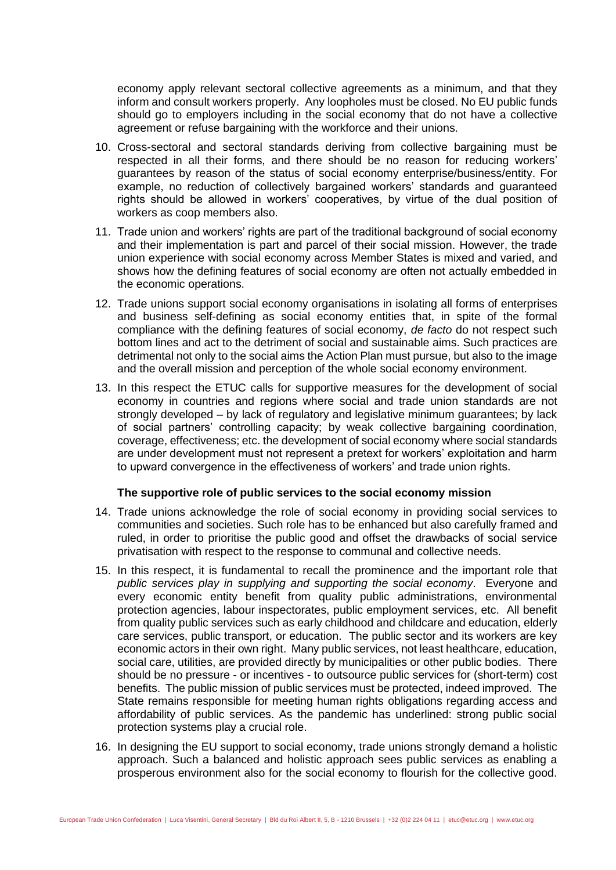economy apply relevant sectoral collective agreements as a minimum, and that they inform and consult workers properly. Any loopholes must be closed. No EU public funds should go to employers including in the social economy that do not have a collective agreement or refuse bargaining with the workforce and their unions.

- 10. Cross-sectoral and sectoral standards deriving from collective bargaining must be respected in all their forms, and there should be no reason for reducing workers' guarantees by reason of the status of social economy enterprise/business/entity. For example, no reduction of collectively bargained workers' standards and guaranteed rights should be allowed in workers' cooperatives, by virtue of the dual position of workers as coop members also.
- 11. Trade union and workers' rights are part of the traditional background of social economy and their implementation is part and parcel of their social mission. However, the trade union experience with social economy across Member States is mixed and varied, and shows how the defining features of social economy are often not actually embedded in the economic operations.
- 12. Trade unions support social economy organisations in isolating all forms of enterprises and business self-defining as social economy entities that, in spite of the formal compliance with the defining features of social economy, *de facto* do not respect such bottom lines and act to the detriment of social and sustainable aims. Such practices are detrimental not only to the social aims the Action Plan must pursue, but also to the image and the overall mission and perception of the whole social economy environment.
- 13. In this respect the ETUC calls for supportive measures for the development of social economy in countries and regions where social and trade union standards are not strongly developed – by lack of regulatory and legislative minimum guarantees; by lack of social partners' controlling capacity; by weak collective bargaining coordination, coverage, effectiveness; etc. the development of social economy where social standards are under development must not represent a pretext for workers' exploitation and harm to upward convergence in the effectiveness of workers' and trade union rights.

### **The supportive role of public services to the social economy mission**

- 14. Trade unions acknowledge the role of social economy in providing social services to communities and societies. Such role has to be enhanced but also carefully framed and ruled, in order to prioritise the public good and offset the drawbacks of social service privatisation with respect to the response to communal and collective needs.
- 15. In this respect, it is fundamental to recall the prominence and the important role that *public services play in supplying and supporting the social economy*. Everyone and every economic entity benefit from quality public administrations, environmental protection agencies, labour inspectorates, public employment services, etc. All benefit from quality public services such as early childhood and childcare and education, elderly care services, public transport, or education. The public sector and its workers are key economic actors in their own right. Many public services, not least healthcare, education, social care, utilities, are provided directly by municipalities or other public bodies. There should be no pressure - or incentives - to outsource public services for (short-term) cost benefits. The public mission of public services must be protected, indeed improved. The State remains responsible for meeting human rights obligations regarding access and affordability of public services. As the pandemic has underlined: strong public social protection systems play a crucial role.
- 16. In designing the EU support to social economy, trade unions strongly demand a holistic approach. Such a balanced and holistic approach sees public services as enabling a prosperous environment also for the social economy to flourish for the collective good.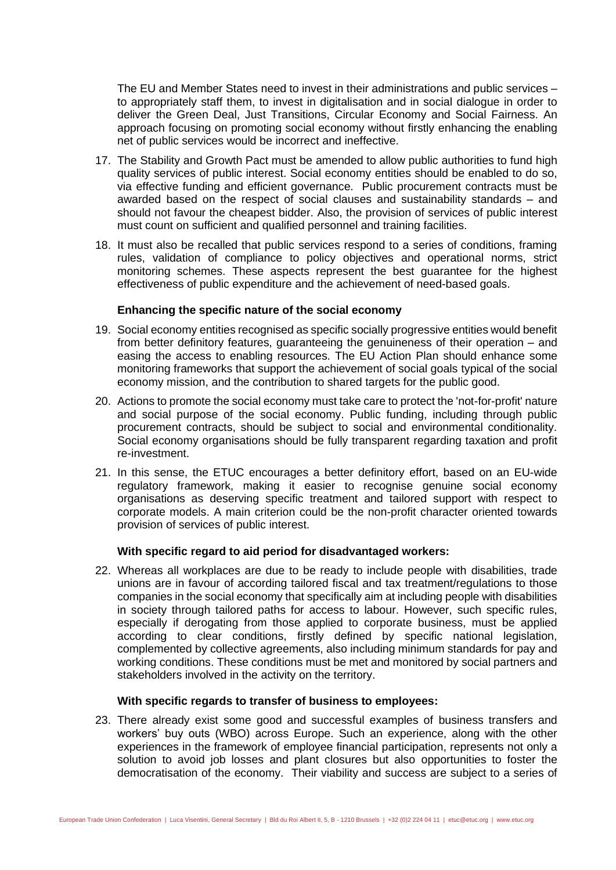The EU and Member States need to invest in their administrations and public services – to appropriately staff them, to invest in digitalisation and in social dialogue in order to deliver the Green Deal, Just Transitions, Circular Economy and Social Fairness. An approach focusing on promoting social economy without firstly enhancing the enabling net of public services would be incorrect and ineffective.

- 17. The Stability and Growth Pact must be amended to allow public authorities to fund high quality services of public interest. Social economy entities should be enabled to do so, via effective funding and efficient governance. Public procurement contracts must be awarded based on the respect of social clauses and sustainability standards – and should not favour the cheapest bidder. Also, the provision of services of public interest must count on sufficient and qualified personnel and training facilities.
- 18. It must also be recalled that public services respond to a series of conditions, framing rules, validation of compliance to policy objectives and operational norms, strict monitoring schemes. These aspects represent the best guarantee for the highest effectiveness of public expenditure and the achievement of need-based goals.

### **Enhancing the specific nature of the social economy**

- 19. Social economy entities recognised as specific socially progressive entities would benefit from better definitory features, guaranteeing the genuineness of their operation – and easing the access to enabling resources. The EU Action Plan should enhance some monitoring frameworks that support the achievement of social goals typical of the social economy mission, and the contribution to shared targets for the public good.
- 20. Actions to promote the social economy must take care to protect the 'not-for-profit' nature and social purpose of the social economy. Public funding, including through public procurement contracts, should be subject to social and environmental conditionality. Social economy organisations should be fully transparent regarding taxation and profit re-investment.
- 21. In this sense, the ETUC encourages a better definitory effort, based on an EU-wide regulatory framework, making it easier to recognise genuine social economy organisations as deserving specific treatment and tailored support with respect to corporate models. A main criterion could be the non-profit character oriented towards provision of services of public interest.

### **With specific regard to aid period for disadvantaged workers:**

22. Whereas all workplaces are due to be ready to include people with disabilities, trade unions are in favour of according tailored fiscal and tax treatment/regulations to those companies in the social economy that specifically aim at including people with disabilities in society through tailored paths for access to labour. However, such specific rules, especially if derogating from those applied to corporate business, must be applied according to clear conditions, firstly defined by specific national legislation, complemented by collective agreements, also including minimum standards for pay and working conditions. These conditions must be met and monitored by social partners and stakeholders involved in the activity on the territory.

### **With specific regards to transfer of business to employees:**

23. There already exist some good and successful examples of business transfers and workers' buy outs (WBO) across Europe. Such an experience, along with the other experiences in the framework of employee financial participation, represents not only a solution to avoid job losses and plant closures but also opportunities to foster the democratisation of the economy. Their viability and success are subject to a series of